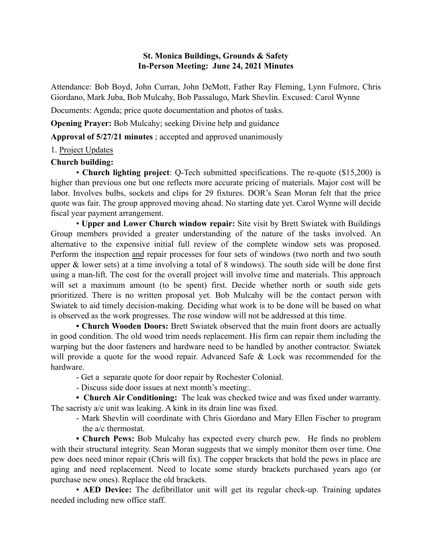## St. Monica Buildings, Grounds & Safety In-Person Meeting: June 24, 2021 Minutes

Attendance: Bob Boyd, John Curran, John DeMott, Father Ray Fleming, Lynn Fulmore, Chris Giordano, Mark Juba, Bob Mulcahy, Bob Passalugo, Mark Shevlin. Excused: Carol Wynne

Documents: Agenda; price quote documentation and photos of tasks.

Opening Prayer: Bob Mulcahy; seeking Divine help and guidance

Approval of 5/27/21 minutes ; accepted and approved unanimously

# 1. Project Updates

## Church building:

• Church lighting project: Q-Tech submitted specifications. The re-quote (\$15,200) is higher than previous one but one reflects more accurate pricing of materials. Major cost will be labor. Involves bulbs, sockets and clips for 29 fixtures. DOR's Sean Moran felt that the price quote was fair. The group approved moving ahead. No starting date yet. Carol Wynne will decide fiscal year payment arrangement.

• Upper and Lower Church window repair: Site visit by Brett Swiatek with Buildings Group members provided a greater understanding of the nature of the tasks involved. An alternative to the expensive initial full review of the complete window sets was proposed. Perform the inspection and repair processes for four sets of windows (two north and two south upper  $\&$  lower sets) at a time involving a total of 8 windows). The south side will be done first using a man-lift. The cost for the overall project will involve time and materials. This approach will set a maximum amount (to be spent) first. Decide whether north or south side gets prioritized. There is no written proposal yet. Bob Mulcahy will be the contact person with Swiatek to aid timely decision-making. Deciding what work is to be done will be based on what is observed as the work progresses. The rose window will not be addressed at this time.

• Church Wooden Doors: Brett Swiatek observed that the main front doors are actually in good condition. The old wood trim needs replacement. His firm can repair them including the warping but the door fasteners and hardware need to be handled by another contractor. Swiatek will provide a quote for the wood repair. Advanced Safe & Lock was recommended for the hardware.

- Get a separate quote for door repair by Rochester Colonial.

- Discuss side door issues at next month's meeting:.

• Church Air Conditioning: The leak was checked twice and was fixed under warranty. The sacristy a/c unit was leaking. A kink in its drain line was fixed.

- Mark Shevlin will coordinate with Chris Giordano and Mary Ellen Fischer to program the a/c thermostat.

• Church Pews: Bob Mulcahy has expected every church pew. He finds no problem with their structural integrity. Sean Moran suggests that we simply monitor them over time. One pew does need minor repair (Chris will fix). The copper brackets that hold the pews in place are aging and need replacement. Need to locate some sturdy brackets purchased years ago (or purchase new ones). Replace the old brackets.

• AED Device: The defibrillator unit will get its regular check-up. Training updates needed including new office staff.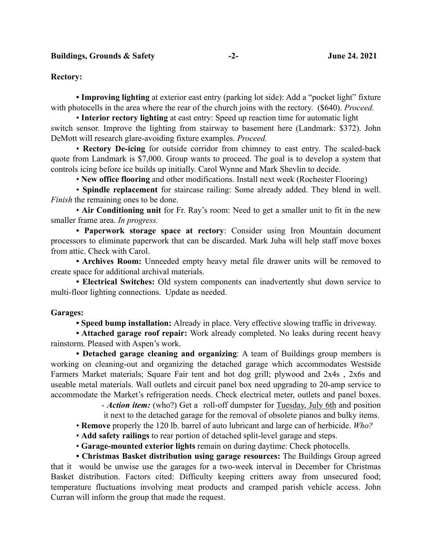### Buildings, Grounds & Safety **-2-** -2- June 24. 2021

#### Rectory:

• Improving lighting at exterior east entry (parking lot side): Add a "pocket light" fixture with photocells in the area where the rear of the church joins with the rectory. (\$640). *Proceed.*

• Interior rectory lighting at east entry: Speed up reaction time for automatic light switch sensor. Improve the lighting from stairway to basement here (Landmark: \$372). John DeMott will research glare-avoiding fixture examples. *Proceed.*

• Rectory De-icing for outside corridor from chimney to east entry. The scaled-back quote from Landmark is \$7,000. Group wants to proceed. The goal is to develop a system that controls icing before ice builds up initially. Carol Wynne and Mark Shevlin to decide.

• New office flooring and other modifications. Install next week (Rochester Flooring)

• Spindle replacement for staircase railing: Some already added. They blend in well. *Finish* the remaining ones to be done.

• Air Conditioning unit for Fr. Ray's room: Need to get a smaller unit to fit in the new smaller frame area. *In progress.*

• Paperwork storage space at rectory: Consider using Iron Mountain document processors to eliminate paperwork that can be discarded. Mark Juba will help staff move boxes from attic. Check with Carol.

• Archives Room: Unneeded empty heavy metal file drawer units will be removed to create space for additional archival materials.

• Electrical Switches: Old system components can inadvertently shut down service to multi-floor lighting connections. Update as needed.

### Garages:

• Speed bump installation: Already in place. Very effective slowing traffic in driveway.

• Attached garage roof repair: Work already completed. No leaks during recent heavy rainstorm. Pleased with Aspen's work.

• Detached garage cleaning and organizing: A team of Buildings group members is working on cleaning-out and organizing the detached garage which accommodates Westside Farmers Market materials; Square Fair tent and hot dog grill; plywood and 2x4s , 2x6s and useable metal materials. Wall outlets and circuit panel box need upgrading to 20-amp service to accommodate the Market's refrigeration needs. Check electrical meter, outlets and panel boxes.

- *Action item:* (who?) Get a roll-off dumpster for Tuesday, July 6th and position

it next to the detached garage for the removal of obsolete pianos and bulky items.

• Remove properly the 120 lb. barrel of auto lubricant and large can of herbicide. *Who?*

• Add safety railings to rear portion of detached split-level garage and steps.

• Garage-mounted exterior lights remain on during daytime: Check photocells.

• Christmas Basket distribution using garage resources: The Buildings Group agreed that it would be unwise use the garages for a two-week interval in December for Christmas Basket distribution. Factors cited: Difficulty keeping critters away from unsecured food; temperature fluctuations involving meat products and cramped parish vehicle access. John Curran will inform the group that made the request.